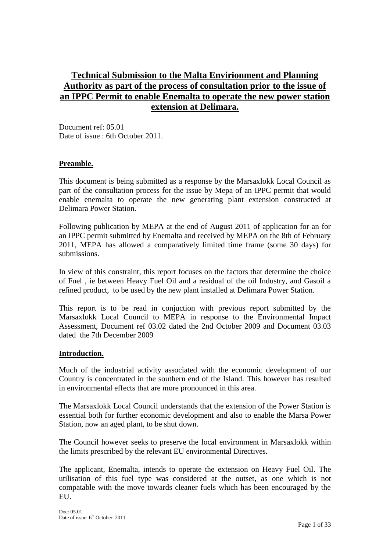### **Technical Submission to the Malta Envirionment and Planning Authority as part of the process of consultation prior to the issue of an IPPC Permit to enable Enemalta to operate the new power station extension at Delimara.**

Document ref: 05.01 Date of issue: 6th October 2011.

#### **Preamble.**

This document is being submitted as a response by the Marsaxlokk Local Council as part of the consultation process for the issue by Mepa of an IPPC permit that would enable enemalta to operate the new generating plant extension constructed at Delimara Power Station.

Following publication by MEPA at the end of August 2011 of application for an for an IPPC permit submitted by Enemalta and received by MEPA on the 8th of February 2011, MEPA has allowed a comparatively limited time frame (some 30 days) for submissions.

In view of this constraint, this report focuses on the factors that determine the choice of Fuel , ie between Heavy Fuel Oil and a residual of the oil Industry, and Gasoil a refined product, to be used by the new plant installed at Delimara Power Station.

This report is to be read in conjuction with previous report submitted by the Marsaxlokk Local Council to MEPA in response to the Environmental Impact Assessment, Document ref 03.02 dated the 2nd October 2009 and Document 03.03 dated the 7th December 2009

#### **Introduction.**

Much of the industrial activity associated with the economic development of our Country is concentrated in the southern end of the Island. This however has resulted in environmental effects that are more pronounced in this area.

The Marsaxlokk Local Council understands that the extension of the Power Station is essential both for further economic development and also to enable the Marsa Power Station, now an aged plant, to be shut down.

The Council however seeks to preserve the local environment in Marsaxlokk within the limits prescribed by the relevant EU environmental Directives.

The applicant, Enemalta, intends to operate the extension on Heavy Fuel Oil. The utilisation of this fuel type was considered at the outset, as one which is not compatable with the move towards cleaner fuels which has been encouraged by the EU.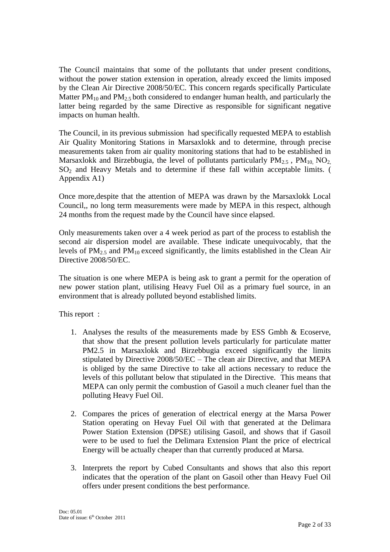The Council maintains that some of the pollutants that under present conditions, without the power station extension in operation, already exceed the limits imposed by the Clean Air Directive 2008/50/EC. This concern regards specifically Particulate Matter  $PM_{10}$  and  $PM_{2.5}$  both considered to endanger human health, and particularly the latter being regarded by the same Directive as responsible for significant negative impacts on human health.

The Council, in its previous submission had specifically requested MEPA to establish Air Quality Monitoring Stations in Marsaxlokk and to determine, through precise measurements taken from air quality monitoring stations that had to be established in Marsaxlokk and Birzebbugia, the level of pollutants particularly  $PM_{2.5}$ ,  $PM_{10}$ ,  $NO_{2}$  $SO<sub>2</sub>$  and Heavy Metals and to determine if these fall within acceptable limits. ( Appendix A1)

Once more,despite that the attention of MEPA was drawn by the Marsaxlokk Local Council,, no long term measurements were made by MEPA in this respect, although 24 months from the request made by the Council have since elapsed.

Only measurements taken over a 4 week period as part of the process to establish the second air dispersion model are available. These indicate unequivocably, that the levels of PM2.5 and PM10 exceed significantly, the limits established in the Clean Air Directive 2008/50/EC.

The situation is one where MEPA is being ask to grant a permit for the operation of new power station plant, utilising Heavy Fuel Oil as a primary fuel source, in an environment that is already polluted beyond established limits.

This report :

- 1. Analyses the results of the measurements made by ESS Gmbh & Ecoserve, that show that the present pollution levels particularly for particulate matter PM2.5 in Marsaxlokk and Birzebbugia exceed significantly the limits stipulated by Directive 2008/50/EC – The clean air Directive, and that MEPA is obliged by the same Directive to take all actions necessary to reduce the levels of this pollutant below that stipulated in the Directive. This means that MEPA can only permit the combustion of Gasoil a much cleaner fuel than the polluting Heavy Fuel Oil.
- 2. Compares the prices of generation of electrical energy at the Marsa Power Station operating on Hevay Fuel Oil with that generated at the Delimara Power Station Extension (DPSE) utilising Gasoil, and shows that if Gasoil were to be used to fuel the Delimara Extension Plant the price of electrical Energy will be actually cheaper than that currently produced at Marsa.
- 3. Interprets the report by Cubed Consultants and shows that also this report indicates that the operation of the plant on Gasoil other than Heavy Fuel Oil offers under present conditions the best performance.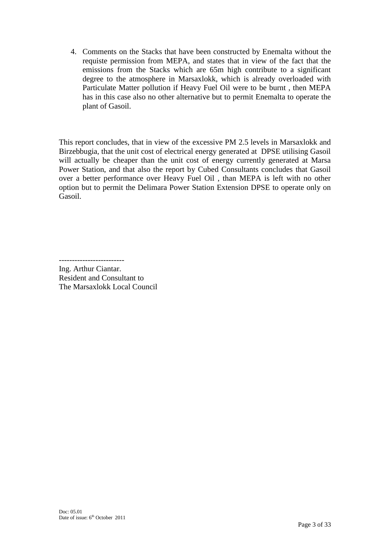4. Comments on the Stacks that have been constructed by Enemalta without the requiste permission from MEPA, and states that in view of the fact that the emissions from the Stacks which are 65m high contribute to a significant degree to the atmosphere in Marsaxlokk, which is already overloaded with Particulate Matter pollution if Heavy Fuel Oil were to be burnt , then MEPA has in this case also no other alternative but to permit Enemalta to operate the plant of Gasoil.

This report concludes, that in view of the excessive PM 2.5 levels in Marsaxlokk and Birzebbugia, that the unit cost of electrical energy generated at DPSE utilising Gasoil will actually be cheaper than the unit cost of energy currently generated at Marsa Power Station, and that also the report by Cubed Consultants concludes that Gasoil over a better performance over Heavy Fuel Oil , than MEPA is left with no other option but to permit the Delimara Power Station Extension DPSE to operate only on Gasoil.

-------------------------

Ing. Arthur Ciantar. Resident and Consultant to The Marsaxlokk Local Council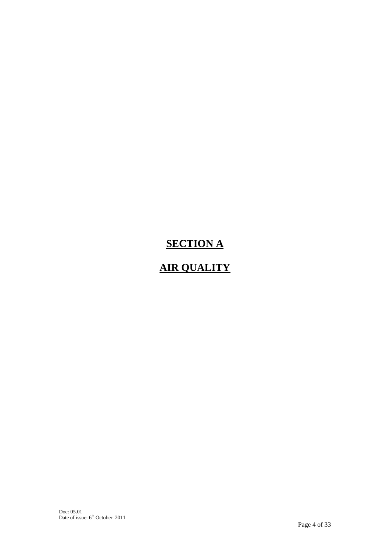# **SECTION A**

# **AIR QUALITY**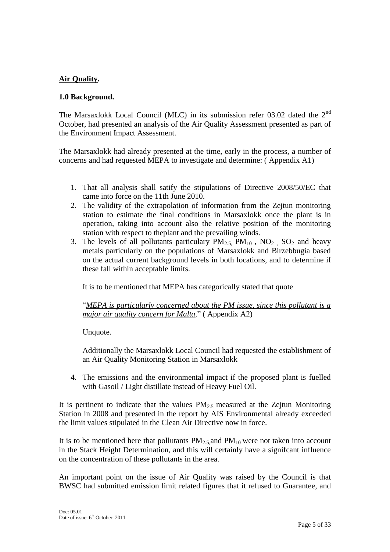#### **Air Quality.**

#### **1.0 Background.**

The Marsaxlokk Local Council (MLC) in its submission refer 03.02 dated the 2<sup>nd</sup> October, had presented an analysis of the Air Quality Assessment presented as part of the Environment Impact Assessment.

The Marsaxlokk had already presented at the time, early in the process, a number of concerns and had requested MEPA to investigate and determine: ( Appendix A1)

- 1. That all analysis shall satify the stipulations of Directive 2008/50/EC that came into force on the 11th June 2010.
- 2. The validity of the extrapolation of information from the Zejtun monitoring station to estimate the final conditions in Marsaxlokk once the plant is in operation, taking into account also the relative position of the monitoring station with respect to theplant and the prevailing winds.
- 3. The levels of all pollutants particulary  $PM_{2.5}$ ,  $PM_{10}$ ,  $NO_2$ ,  $SO_2$  and heavy metals particularly on the populations of Marsaxlokk and Birzebbugia based on the actual current background levels in both locations, and to determine if these fall within acceptable limits.

It is to be mentioned that MEPA has categorically stated that quote

"*MEPA is particularly concerned about the PM issue, since this pollutant is a major air quality concern for Malta*." ( Appendix A2)

Unquote.

Additionally the Marsaxlokk Local Council had requested the establishment of an Air Quality Monitoring Station in Marsaxlokk

4. The emissions and the environmental impact if the proposed plant is fuelled with Gasoil / Light distillate instead of Heavy Fuel Oil.

It is pertinent to indicate that the values  $PM<sub>2.5</sub>$  measured at the Zejtun Monitoring Station in 2008 and presented in the report by AIS Environmental already exceeded the limit values stipulated in the Clean Air Directive now in force.

It is to be mentioned here that pollutants  $PM_{2.5}$  and  $PM_{10}$  were not taken into account in the Stack Height Determination, and this will certainly have a signifcant influence on the concentration of these pollutants in the area.

An important point on the issue of Air Quality was raised by the Council is that BWSC had submitted emission limit related figures that it refused to Guarantee, and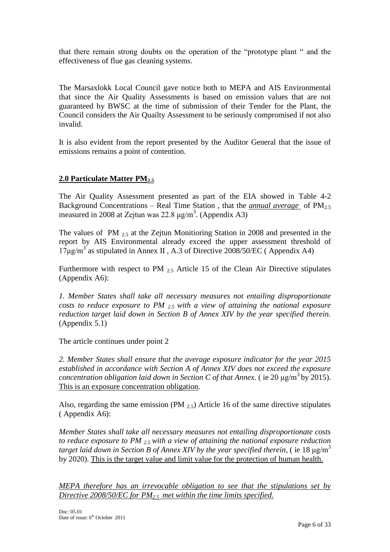that there remain strong doubts on the operation of the "prototype plant " and the effectiveness of flue gas cleaning systems.

The Marsaxlokk Local Council gave notice both to MEPA and AIS Environmental that since the Air Quality Assessments is based on emission values that are not guaranteed by BWSC at the time of submission of their Tender for the Plant, the Council considers the Air Quailty Assessment to be seriously compromised if not also invalid.

It is also evident from the report presented by the Auditor General that the issue of emissions remains a point of contention.

#### **2.0 Particulate Matter PM2.5**

The Air Quality Assessment presented as part of the EIA showed in Table 4-2 Background Concentrations – Real Time Station , that the *annual average* of PM2.5 measured in 2008 at Zejtun was  $22.8 \mu g/m^3$ . (Appendix A3)

The values of PM 2.5 at the Zejtun Monitioring Station in 2008 and presented in the report by AIS Environmental already exceed the upper assessment threshold of  $17\mu$ g/m<sup>3</sup> as stipulated in Annex II, A.3 of Directive 2008/50/EC (Appendix A4)

Furthermore with respect to PM  $_{2.5}$  Article 15 of the Clean Air Directive stipulates (Appendix A6):

*1. Member States shall take all necessary measures not entailing disproportionate costs to reduce exposure to PM 2.5 with a view of attaining the national exposure reduction target laid down in Section B of Annex XIV by the year specified therein.* (Appendix 5.1)

The article continues under point 2

*2. Member States shall ensure that the average exposure indicator for the year 2015 established in accordance with Section A of Annex XIV does not exceed the exposure concentration obligation laid down in Section C of that Annex.* ( ie 20  $\mu$ g/m<sup>3</sup> by 2015). This is an exposure concentration obligation.

Also, regarding the same emission (PM  $_{2.5}$ ) Article 16 of the same directive stipulates ( Appendix A6):

*Member States shall take all necessary measures not entailing disproportionate costs to reduce exposure to PM 2.5 with a view of attaining the national exposure reduction target laid down in Section B of Annex XIV by the year specified therein, (ie 18*  $\mu$ *g/m<sup>3</sup>* by 2020). This is the target value and limit value for the protection of human health.

*MEPA therefore has an irrevocable obligation to see that the stipulations set by Directive 2008/50/EC for PM2.5 met within the time limits specified.*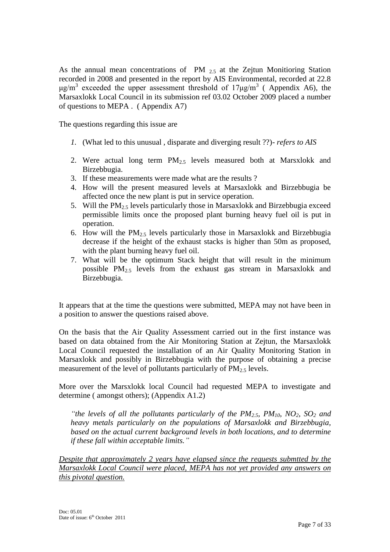As the annual mean concentrations of PM  $_{2.5}$  at the Zejtun Monitioring Station recorded in 2008 and presented in the report by AIS Environmental, recorded at 22.8 μg/m<sup>3</sup> exceeded the upper assessment threshold of  $17\mu$ g/m<sup>3</sup> (Appendix A6), the Marsaxlokk Local Council in its submission ref 03.02 October 2009 placed a number of questions to MEPA . ( Appendix A7)

The questions regarding this issue are

- *1.* (What led to this unusual , disparate and diverging result ??)- *refers to AIS*
- 2. Were actual long term  $PM_{2.5}$  levels measured both at Marsxlokk and Birzebbugia.
- 3. If these measurements were made what are the results ?
- 4. How will the present measured levels at Marsaxlokk and Birzebbugia be affected once the new plant is put in service operation.
- 5. Will the  $PM_2$ , levels particularly those in Marsaxlokk and Birzebbugia exceed permissible limits once the proposed plant burning heavy fuel oil is put in operation.
- 6. How will the  $PM<sub>2.5</sub>$  levels particularly those in Marsaxlokk and Birzebbugia decrease if the height of the exhaust stacks is higher than 50m as proposed, with the plant burning heavy fuel oil.
- 7. What will be the optimum Stack height that will result in the minimum possible PM2.5 levels from the exhaust gas stream in Marsaxlokk and Birzebbugia.

It appears that at the time the questions were submitted, MEPA may not have been in a position to answer the questions raised above.

On the basis that the Air Quality Assessment carried out in the first instance was based on data obtained from the Air Monitoring Station at Zejtun, the Marsaxlokk Local Council requested the installation of an Air Quality Monitoring Station in Marsaxlokk and possibly in Birzebbugia with the purpose of obtaining a precise measurement of the level of pollutants particularly of  $PM_{2.5}$  levels.

More over the Marsxlokk local Council had requested MEPA to investigate and determine ( amongst others); (Appendix A1.2)

*"the levels of all the pollutants particularly of the PM2.5, PM10, NO2, SO<sup>2</sup> and heavy metals particularly on the populations of Marsaxlokk and Birzebbugia, based on the actual current background levels in both locations, and to determine if these fall within acceptable limits."*

*Despite that approximately 2 years have elapsed since the requests submtted by the Marsaxlokk Local Council were placed, MEPA has not yet provided any answers on this pivotal question.*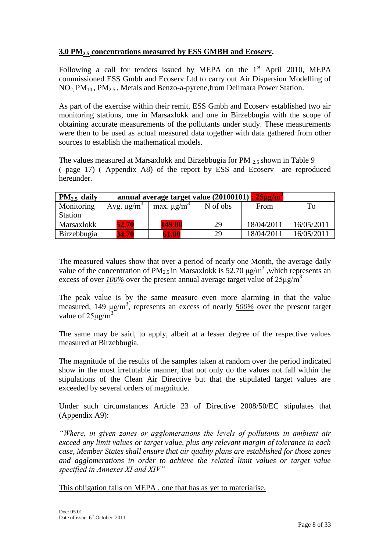#### **3.0 PM2.5 concentrations measured by ESS GMBH and Ecoserv.**

Following a call for tenders issued by MEPA on the  $1<sup>st</sup>$  April 2010, MEPA commissioned ESS Gmbh and Ecoserv Ltd to carry out Air Dispersion Modelling of  $NO<sub>2</sub> PM<sub>10</sub>$ ,  $PM<sub>2.5</sub>$ , Metals and Benzo-a-pyrene, from Delimara Power Station.

As part of the exercise within their remit, ESS Gmbh and Ecoserv established two air monitoring stations, one in Marsaxlokk and one in Birzebbugia with the scope of obtaining accurate measurements of the pollutants under study. These measurements were then to be used as actual measured data together with data gathered from other sources to establish the mathematical models.

The values measured at Marsaxlokk and Birzebbugia for PM 2.5 shown in Table 9 ( page 17) ( Appendix A8) of the report by ESS and Ecoserv are reproduced hereunder.

| $PM2.5$ daily  | annual average target value (20100101) : 25µg/m <sup>3</sup> |                             |          |            |            |  |
|----------------|--------------------------------------------------------------|-----------------------------|----------|------------|------------|--|
| Monitoring     | Avg. $\mu$ g/m <sup>3</sup>                                  | max. $\mu$ g/m <sup>3</sup> | N of obs | From       | To         |  |
| <b>Station</b> |                                                              |                             |          |            |            |  |
| Marsaxlokk     | 52.70                                                        | <b>149.00</b>               | 29       | 18/04/2011 | 16/05/2011 |  |
| Birzebbugia    | 34.70                                                        | 61.00                       | 29       | 18/04/2011 | 16/05/2011 |  |

The measured values show that over a period of nearly one Month, the average daily value of the concentration of PM<sub>2.5</sub> in Marsaxlokk is 52.70  $\mu$ g/m<sup>3</sup>, which represents an excess of over  $100\%$  over the present annual average target value of  $25\mu\text{g/m}^3$ 

The peak value is by the same measure even more alarming in that the value measured, 149 μg/m<sup>3</sup> , represents an excess of nearly *500%* over the present target value of  $25\mu g/m^3$ 

The same may be said, to apply, albeit at a lesser degree of the respective values measured at Birzebbugia.

The magnitude of the results of the samples taken at random over the period indicated show in the most irrefutable manner, that not only do the values not fall within the stipulations of the Clean Air Directive but that the stipulated target values are exceeded by several orders of magnitude.

Under such circumstances Article 23 of Directive 2008/50/EC stipulates that (Appendix A9):

*"Where, in given zones or agglomerations the levels of pollutants in ambient air exceed any limit values or target value, plus any relevant margin of tolerance in each case, Member States shall ensure that air quality plans are established for those zones and agglomerations in order to achieve the related limit values or target value specified in Annexes XI and XIV"*

This obligation falls on MEPA , one that has as yet to materialise.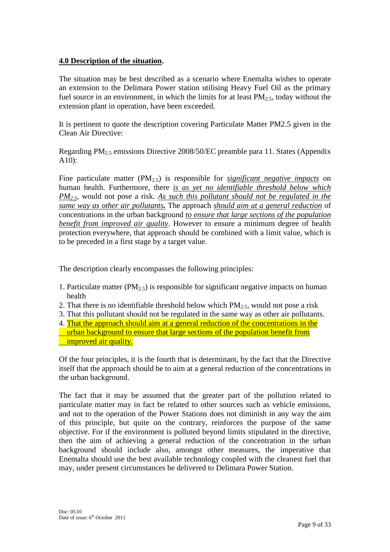#### **4.0 Description of the situation.**

The situation may be best described as a scenario where Enemalta wishes to operate an extension to the Delimara Power station utilising Heavy Fuel Oil as the primary fuel source in an environment, in which the limits for at least  $PM_{2.5}$ , today without the extension plant in operation, have been exceeded.

It is pertinent to quote the description covering Particulate Matter PM2.5 given in the Clean Air Directive:

Regarding PM2.5 emissions Directive 2008/50/EC preamble para 11. States (Appendix A10):

Fine particulate matter  $(PM<sub>2.5</sub>)$  is responsible for *significant negative impacts* on human health. Furthermore, there *is as yet no identifiable threshold below which PM2.5*, would not pose a risk. *As such this pollutant should not be regulated in the same way as other air pollutants.* The approach *should aim at a general reduction* of concentrations in the urban background *to ensure that large sections of the population benefit from improved air quality*. However to ensure a minimum degree of health protection everywhere, that approach should be combined with a limit value, which is to be preceded in a first stage by a target value.

The description clearly encompasses the following principles:

- 1. Particulate matter (PM<sub>2.5</sub>) is responsible for significant negative impacts on human health
- 2. That there is no identifiable threshold below which  $PM_{2.5}$ , would not pose a risk
- 3. That this pollutant should not be regulated in the same way as other air pollutants.
- 4. That the approach should aim at a general reduction of the concentrations in the urban background to ensure that large sections of the population benefit from improved air quality.

Of the four principles, it is the fourth that is determinant, by the fact that the Directive itself that the approach should be to aim at a general reduction of the concentrations in the urban background.

The fact that it may be assumed that the greater part of the pollution related to particulate matter may in fact be related to other sources such as vehicle emissions, and not to the operation of the Power Stations does not diminish in any way the aim of this principle, but quite on the contrary, reinforces the purpose of the same objective. For if the environment is polluted beyond limits stipulated in the directive, then the aim of achieving a general reduction of the concentration in the urban background should include also, amongst other measures, the imperative that Enemalta should use the best available technology coupled with the cleanest fuel that may, under present circumstances be delivered to Delimara Power Station.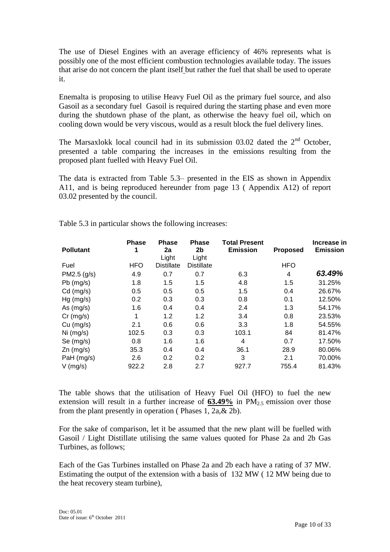The use of Diesel Engines with an average efficiency of 46% represents what is possibly one of the most efficient combustion technologies available today. The issues that arise do not concern the plant itself but rather the fuel that shall be used to operate it.

Enemalta is proposing to utilise Heavy Fuel Oil as the primary fuel source, and also Gasoil as a secondary fuel Gasoil is required during the starting phase and even more during the shutdown phase of the plant, as otherwise the heavy fuel oil, which on cooling down would be very viscous, would as a result block the fuel delivery lines.

The Marsaxlokk local council had in its submission  $03.02$  dated the  $2<sup>nd</sup>$  October, presented a table comparing the increases in the emissions resulting from the proposed plant fuelled with Heavy Fuel Oil.

The data is extracted from Table 5.3– presented in the EIS as shown in Appendix A11, and is being reproduced hereunder from page 13 ( Appendix A12) of report 03.02 presented by the council.

|                  | <b>Phase</b> | <b>Phase</b>      | <b>Phase</b>      | <b>Total Present</b> |                 | Increase in     |
|------------------|--------------|-------------------|-------------------|----------------------|-----------------|-----------------|
| <b>Pollutant</b> | 1            | 2a                | 2b                | <b>Emission</b>      | <b>Proposed</b> | <b>Emission</b> |
|                  |              | Light             | Light             |                      |                 |                 |
| Fuel             | <b>HFO</b>   | <b>Distillate</b> | <b>Distillate</b> |                      | <b>HFO</b>      |                 |
| PM2.5 (g/s)      | 4.9          | 0.7               | 0.7               | 6.3                  | $\overline{4}$  | 63.49%          |
| $Pb$ (mg/s)      | 1.8          | 1.5               | 1.5               | 4.8                  | 1.5             | 31.25%          |
| $Cd$ (mg/s)      | 0.5          | 0.5               | 0.5               | 1.5                  | 0.4             | 26.67%          |
| $Hg$ (mg/s)      | 0.2          | 0.3               | 0.3               | 0.8                  | 0.1             | 12.50%          |
| As $(mg/s)$      | 1.6          | 0.4               | 0.4               | 2.4                  | 1.3             | 54.17%          |
| $Cr$ (mg/s)      | 1            | 1.2               | 1.2               | 3.4                  | 0.8             | 23.53%          |
| $Cu$ (mg/s)      | 2.1          | 0.6               | 0.6               | 3.3                  | 1.8             | 54.55%          |
| Ni (mg/s)        | 102.5        | 0.3               | 0.3               | 103.1                | 84              | 81.47%          |
| Se (mg/s)        | 0.8          | 1.6               | 1.6               | 4                    | 0.7             | 17.50%          |
| $Zn$ (mg/s)      | 35.3         | 0.4               | 0.4               | 36.1                 | 28.9            | 80.06%          |
| PaH (mg/s)       | 2.6          | 0.2               | 0.2               | 3                    | 2.1             | 70.00%          |
| $V$ (mg/s)       | 922.2        | 2.8               | 2.7               | 927.7                | 755.4           | 81.43%          |

Table 5.3 in particular shows the following increases:

The table shows that the utilisation of Heavy Fuel Oil (HFO) to fuel the new extension will result in a further increase of  $63.49\%$  in  $PM_{2.5}$  emission over those from the plant presently in operation ( Phases 1, 2a,& 2b).

For the sake of comparison, let it be assumed that the new plant will be fuelled with Gasoil / Light Distillate utilising the same values quoted for Phase 2a and 2b Gas Turbines, as follows;

Each of the Gas Turbines installed on Phase 2a and 2b each have a rating of 37 MW. Estimating the output of the extension with a basis of 132 MW ( 12 MW being due to the heat recovery steam turbine),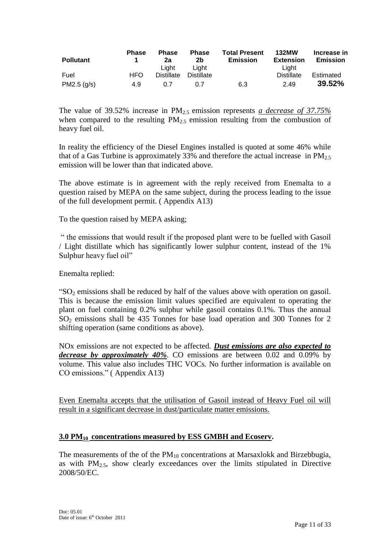| <b>Pollutant</b> | <b>Phase</b> | <b>Phase</b><br>2a | <b>Phase</b><br>2b | <b>Total Present</b><br><b>Emission</b> | <b>132MW</b><br><b>Extension</b> | Increase in<br><b>Emission</b> |
|------------------|--------------|--------------------|--------------------|-----------------------------------------|----------------------------------|--------------------------------|
|                  |              | Liaht              | Liaht              |                                         | Liaht                            |                                |
| Fuel             | HFO.         | <b>Distillate</b>  | <b>Distillate</b>  |                                         | <b>Distillate</b>                | Estimated                      |
| PM2.5 (q/s)      | 4.9          | 0.7                | 0.7                | 6.3                                     | 2.49                             | 39.52%                         |

The value of 39.52% increase in PM2.5 emission represents *a decrease of 37.75%* when compared to the resulting  $PM_2$ <sup>5</sup> emission resulting from the combustion of heavy fuel oil.

In reality the efficiency of the Diesel Engines installed is quoted at some 46% while that of a Gas Turbine is approximately 33% and therefore the actual increase in  $PM_{2.5}$ emission will be lower than that indicated above.

The above estimate is in agreement with the reply received from Enemalta to a question raised by MEPA on the same subject, during the process leading to the issue of the full development permit. ( Appendix A13)

To the question raised by MEPA asking;

" the emissions that would result if the proposed plant were to be fuelled with Gasoil / Light distillate which has significantly lower sulphur content, instead of the 1% Sulphur heavy fuel oil"

Enemalta replied:

" $SO<sub>2</sub>$  emissions shall be reduced by half of the values above with operation on gasoil. This is because the emission limit values specified are equivalent to operating the plant on fuel containing 0.2% sulphur while gasoil contains 0.1%. Thus the annual SO<sup>2</sup> emissions shall be 435 Tonnes for base load operation and 300 Tonnes for 2 shifting operation (same conditions as above).

NOx emissions are not expected to be affected. *Dust emissions are also expected to decrease by approximately 40%*. CO emissions are between 0.02 and 0.09% by volume. This value also includes THC VOCs. No further information is available on CO emissions." ( Appendix A13)

Even Enemalta accepts that the utilisation of Gasoil instead of Heavy Fuel oil will result in a significant decrease in dust/particulate matter emissions.

#### **3.0 PM10 concentrations measured by ESS GMBH and Ecoserv.**

The measurements of the of the  $PM_{10}$  concentrations at Marsaxlokk and Birzebbugia, as with  $PM<sub>2.5</sub>$ , show clearly exceedances over the limits stipulated in Directive 2008/50/EC.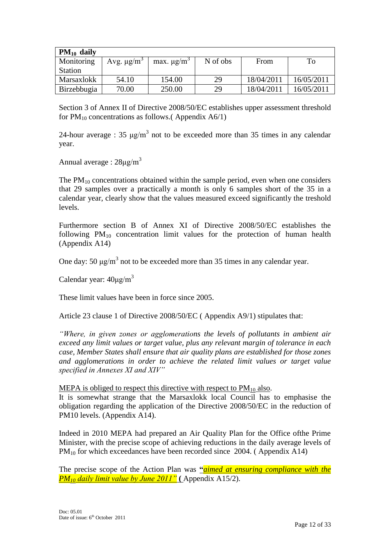| $PM_{10}$ daily |                             |                             |          |            |            |
|-----------------|-----------------------------|-----------------------------|----------|------------|------------|
| Monitoring      | Avg. $\mu$ g/m <sup>3</sup> | max. $\mu$ g/m <sup>3</sup> | N of obs | From       | To         |
| <b>Station</b>  |                             |                             |          |            |            |
| Marsaxlokk      | 54.10                       | 154.00                      | 29       | 18/04/2011 | 16/05/2011 |
| Birzebbugia     | 70.00                       | 250.00                      | 29       | 18/04/2011 | 16/05/2011 |

Section 3 of Annex II of Directive 2008/50/EC establishes upper assessment threshold for  $PM_{10}$  concentrations as follows.(Appendix A6/1)

24-hour average : 35  $\mu$ g/m<sup>3</sup> not to be exceeded more than 35 times in any calendar year.

Annual average :  $28\mu g/m^3$ 

The  $PM_{10}$  concentrations obtained within the sample period, even when one considers that 29 samples over a practically a month is only 6 samples short of the 35 in a calendar year, clearly show that the values measured exceed significantly the treshold levels.

Furthermore section B of Annex XI of Directive 2008/50/EC establishes the following PM<sup>10</sup> concentration limit values for the protection of human health (Appendix A14)

One day: 50  $\mu$ g/m<sup>3</sup> not to be exceeded more than 35 times in any calendar year.

Calendar year:  $40\mu\text{g/m}^3$ 

These limit values have been in force since 2005.

Article 23 clause 1 of Directive 2008/50/EC ( Appendix A9/1) stipulates that:

*"Where, in given zones or agglomerations the levels of pollutants in ambient air exceed any limit values or target value, plus any relevant margin of tolerance in each case, Member States shall ensure that air quality plans are established for those zones and agglomerations in order to achieve the related limit values or target value specified in Annexes XI and XIV"*

MEPA is obliged to respect this directive with respect to  $PM_{10}$  also.

It is somewhat strange that the Marsaxlokk local Council has to emphasise the obligation regarding the application of the Directive 2008/50/EC in the reduction of PM10 levels. (Appendix A14).

Indeed in 2010 MEPA had prepared an Air Quality Plan for the Office ofthe Prime Minister, with the precise scope of achieving reductions in the daily average levels of  $PM_{10}$  for which exceedances have been recorded since 2004. (Appendix A14)

The precise scope of the Action Plan was **"***aimed at ensuring compliance with the PM<sup>10</sup> daily limit value by June 2011"* **(** Appendix A15/2).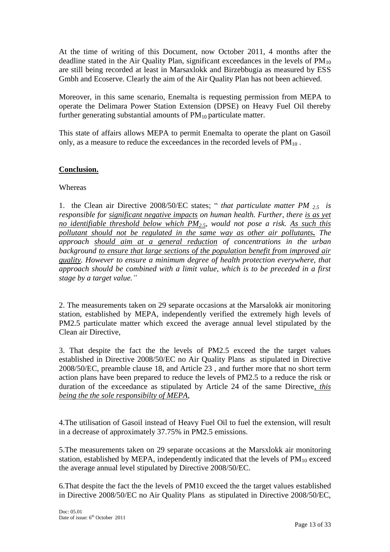At the time of writing of this Document, now October 2011, 4 months after the deadline stated in the Air Quality Plan, significant exceedances in the levels of  $PM_{10}$ are still being recorded at least in Marsaxlokk and Birzebbugia as measured by ESS Gmbh and Ecoserve. Clearly the aim of the Air Quality Plan has not been achieved.

Moreover, in this same scenario, Enemalta is requesting permission from MEPA to operate the Delimara Power Station Extension (DPSE) on Heavy Fuel Oil thereby further generating substantial amounts of  $PM_{10}$  particulate matter.

This state of affairs allows MEPA to permit Enemalta to operate the plant on Gasoil only, as a measure to reduce the exceedances in the recorded levels of  $PM_{10}$ .

#### **Conclusion.**

#### Whereas

1. the Clean air Directive 2008/50/EC states; " *that particulate matter PM 2.5 is responsible for significant negative impacts on human health. Further, there is as yet no identifiable threshold below which PM2.5, would not pose a risk. As such this pollutant should not be regulated in the same way as other air pollutants. The approach should aim at a general reduction of concentrations in the urban background to ensure that large sections of the population benefit from improved air quality. However to ensure a minimum degree of health protection everywhere, that approach should be combined with a limit value, which is to be preceded in a first stage by a target value."*

2. The measurements taken on 29 separate occasions at the Marsalokk air monitoring station, established by MEPA, independently verified the extremely high levels of PM2.5 particulate matter which exceed the average annual level stipulated by the Clean air Directive,

3. That despite the fact the the levels of PM2.5 exceed the the target values established in Directive 2008/50/EC no Air Quality Plans as stipulated in Directive 2008/50/EC, preamble clause 18, and Article 23 , and further more that no short term action plans have been prepared to reduce the levels of PM2.5 to a reduce the risk or duration of the exceedance as stipulated by Article 24 of the same Directive*, this being the the sole responsibilty of MEPA*,

4.The utilisation of Gasoil instead of Heavy Fuel Oil to fuel the extension, will result in a decrease of approximately 37.75% in PM2.5 emissions.

5.The measurements taken on 29 separate occasions at the Marsxlokk air monitoring station, established by MEPA, independently indicated that the levels of  $PM_{10}$  exceed the average annual level stipulated by Directive 2008/50/EC.

6.That despite the fact the the levels of PM10 exceed the the target values established in Directive 2008/50/EC no Air Quality Plans as stipulated in Directive 2008/50/EC,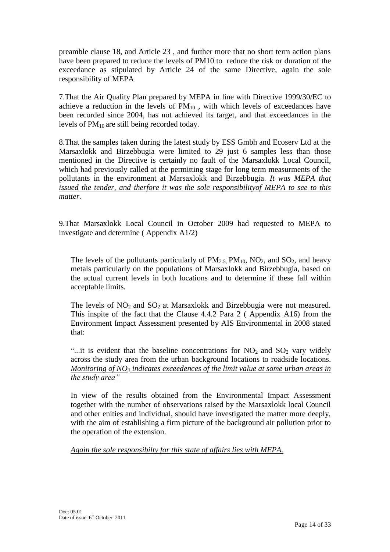preamble clause 18, and Article 23 , and further more that no short term action plans have been prepared to reduce the levels of PM10 to reduce the risk or duration of the exceedance as stipulated by Article 24 of the same Directive, again the sole responsibility of MEPA

7.That the Air Quality Plan prepared by MEPA in line with Directive 1999/30/EC to achieve a reduction in the levels of  $PM_{10}$ , with which levels of exceedances have been recorded since 2004, has not achieved its target, and that exceedances in the levels of  $PM_{10}$  are still being recorded today.

8.That the samples taken during the latest study by ESS Gmbh and Ecoserv Ltd at the Marsaxlokk and Birzebbugia were limited to 29 just 6 samples less than those mentioned in the Directive is certainly no fault of the Marsaxlokk Local Council, which had previously called at the permitting stage for long term measurments of the pollutants in the environment at Marsaxlokk and Birzebbugia. *It was MEPA that issued the tender, and therfore it was the sole responsibilityof MEPA to see to this matter.*

9.That Marsaxlokk Local Council in October 2009 had requested to MEPA to investigate and determine ( Appendix A1/2)

The levels of the pollutants particularly of  $PM_{2.5}$ ,  $PM_{10}$ ,  $NO_2$ , and  $SO_2$ , and heavy metals particularly on the populations of Marsaxlokk and Birzebbugia, based on the actual current levels in both locations and to determine if these fall within acceptable limits.

The levels of  $NO<sub>2</sub>$  and  $SO<sub>2</sub>$  at Marsaxlokk and Birzebbugia were not measured. This inspite of the fact that the Clause 4.4.2 Para 2 ( Appendix A16) from the Environment Impact Assessment presented by AIS Environmental in 2008 stated that:

"...it is evident that the baseline concentrations for  $NO<sub>2</sub>$  and  $SO<sub>2</sub>$  vary widely across the study area from the urban background locations to roadside locations. *Monitoring of NO<sup>2</sup> indicates exceedences of the limit value at some urban areas in the study area"*

In view of the results obtained from the Environmental Impact Assessment together with the number of observations raised by the Marsaxlokk local Council and other enities and individual, should have investigated the matter more deeply, with the aim of establishing a firm picture of the background air pollution prior to the operation of the extension.

*Again the sole responsibilty for this state of affairs lies with MEPA.*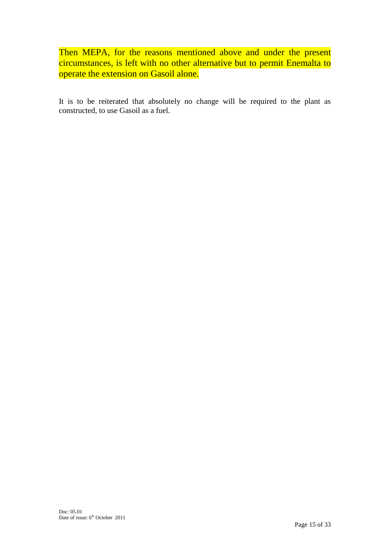Then MEPA, for the reasons mentioned above and under the present circumstances, is left with no other alternative but to permit Enemalta to operate the extension on Gasoil alone.

It is to be reiterated that absolutely no change will be required to the plant as constructed, to use Gasoil as a fuel.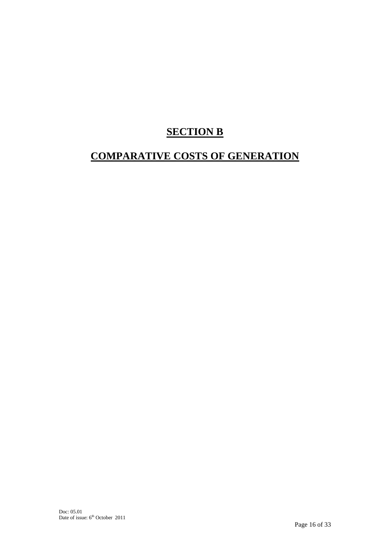## **SECTION B**

### **COMPARATIVE COSTS OF GENERATION**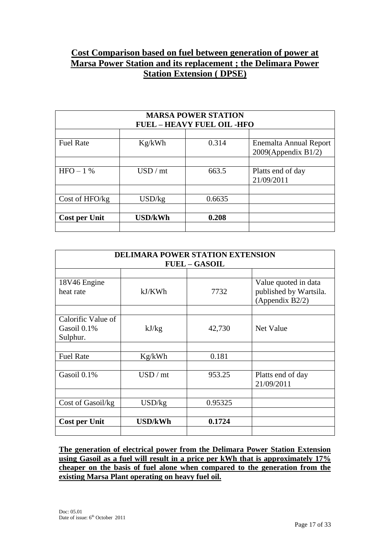### **Cost Comparison based on fuel between generation of power at Marsa Power Station and its replacement ; the Delimara Power Station Extension ( DPSE)**

| <b>MARSA POWER STATION</b><br><b>FUEL - HEAVY FUEL OIL -HFO</b> |         |        |                                                  |  |  |
|-----------------------------------------------------------------|---------|--------|--------------------------------------------------|--|--|
|                                                                 |         |        |                                                  |  |  |
| <b>Fuel Rate</b>                                                | Kg/kWh  | 0.314  | Enemalta Annual Report<br>$2009$ (Appendix B1/2) |  |  |
|                                                                 |         |        |                                                  |  |  |
| $HFO-1$ %                                                       | USD/mt  | 663.5  | Platts end of day<br>21/09/2011                  |  |  |
|                                                                 |         |        |                                                  |  |  |
| Cost of HFO/kg                                                  | USD/kg  | 0.6635 |                                                  |  |  |
|                                                                 |         |        |                                                  |  |  |
| <b>Cost per Unit</b>                                            | USD/kWh | 0.208  |                                                  |  |  |
|                                                                 |         |        |                                                  |  |  |

| <b>DELIMARA POWER STATION EXTENSION</b><br><b>FUEL - GASOIL</b> |         |         |                                                                   |  |
|-----------------------------------------------------------------|---------|---------|-------------------------------------------------------------------|--|
|                                                                 |         |         |                                                                   |  |
| 18V46 Engine<br>heat rate                                       | kJ/KWh  | 7732    | Value quoted in data<br>published by Wartsila.<br>(Appendix B2/2) |  |
|                                                                 |         |         |                                                                   |  |
| Calorific Value of<br>Gasoil 0.1%<br>Sulphur.                   | kJ/kg   | 42,730  | Net Value                                                         |  |
|                                                                 |         |         |                                                                   |  |
| <b>Fuel Rate</b>                                                | Kg/kWh  | 0.181   |                                                                   |  |
| Gasoil 0.1%                                                     | USD/mt  | 953.25  | Platts end of day<br>21/09/2011                                   |  |
| Cost of Gasoil/kg                                               | USD/kg  | 0.95325 |                                                                   |  |
|                                                                 |         |         |                                                                   |  |
| <b>Cost per Unit</b>                                            | USD/kWh | 0.1724  |                                                                   |  |

**The generation of electrical power from the Delimara Power Station Extension using Gasoil as a fuel will result in a price per kWh that is approximately 17% cheaper on the basis of fuel alone when compared to the generation from the existing Marsa Plant operating on heavy fuel oil.**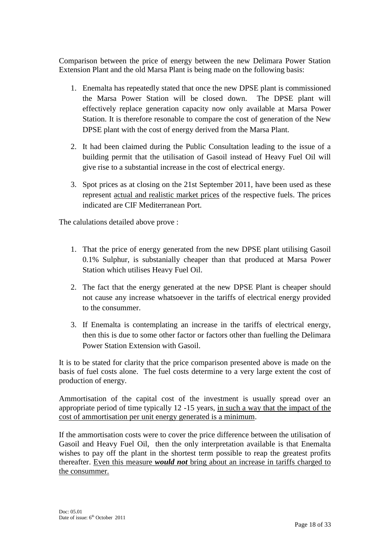Comparison between the price of energy between the new Delimara Power Station Extension Plant and the old Marsa Plant is being made on the following basis:

- 1. Enemalta has repeatedly stated that once the new DPSE plant is commissioned the Marsa Power Station will be closed down. The DPSE plant will effectively replace generation capacity now only available at Marsa Power Station. It is therefore resonable to compare the cost of generation of the New DPSE plant with the cost of energy derived from the Marsa Plant.
- 2. It had been claimed during the Public Consultation leading to the issue of a building permit that the utilisation of Gasoil instead of Heavy Fuel Oil will give rise to a substantial increase in the cost of electrical energy.
- 3. Spot prices as at closing on the 21st September 2011, have been used as these represent actual and realistic market prices of the respective fuels. The prices indicated are CIF Mediterranean Port.

The calulations detailed above prove :

- 1. That the price of energy generated from the new DPSE plant utilising Gasoil 0.1% Sulphur, is substanially cheaper than that produced at Marsa Power Station which utilises Heavy Fuel Oil.
- 2. The fact that the energy generated at the new DPSE Plant is cheaper should not cause any increase whatsoever in the tariffs of electrical energy provided to the consummer.
- 3. If Enemalta is contemplating an increase in the tariffs of electrical energy, then this is due to some other factor or factors other than fuelling the Delimara Power Station Extension with Gasoil.

It is to be stated for clarity that the price comparison presented above is made on the basis of fuel costs alone. The fuel costs determine to a very large extent the cost of production of energy.

Ammortisation of the capital cost of the investment is usually spread over an appropriate period of time typically 12 -15 years, in such a way that the impact of the cost of ammortisation per unit energy generated is a minimum.

If the ammortisation costs were to cover the price difference between the utilisation of Gasoil and Heavy Fuel Oil, then the only interpretation available is that Enemalta wishes to pay off the plant in the shortest term possible to reap the greatest profits thereafter. Even this measure *would not* bring about an increase in tariffs charged to the consummer.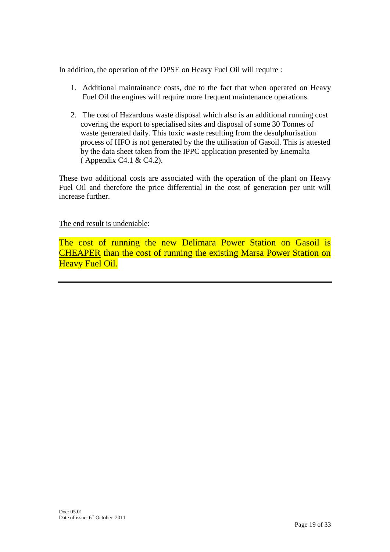In addition, the operation of the DPSE on Heavy Fuel Oil will require :

- 1. Additional maintainance costs, due to the fact that when operated on Heavy Fuel Oil the engines will require more frequent maintenance operations.
- 2. The cost of Hazardous waste disposal which also is an additional running cost covering the export to specialised sites and disposal of some 30 Tonnes of waste generated daily. This toxic waste resulting from the desulphurisation process of HFO is not generated by the the utilisation of Gasoil. This is attested by the data sheet taken from the IPPC application presented by Enemalta ( Appendix C4.1 & C4.2).

These two additional costs are associated with the operation of the plant on Heavy Fuel Oil and therefore the price differential in the cost of generation per unit will increase further.

The end result is undeniable:

The cost of running the new Delimara Power Station on Gasoil is CHEAPER than the cost of running the existing Marsa Power Station on Heavy Fuel Oil.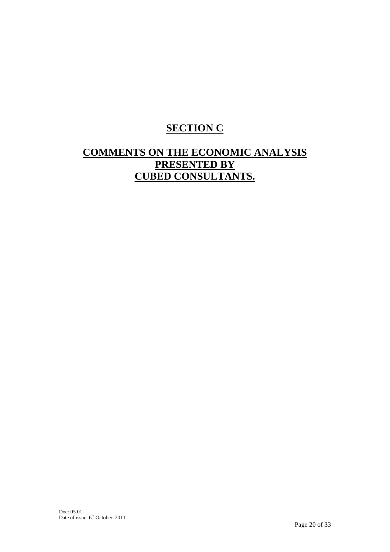## **SECTION C**

### **COMMENTS ON THE ECONOMIC ANALYSIS PRESENTED BY CUBED CONSULTANTS.**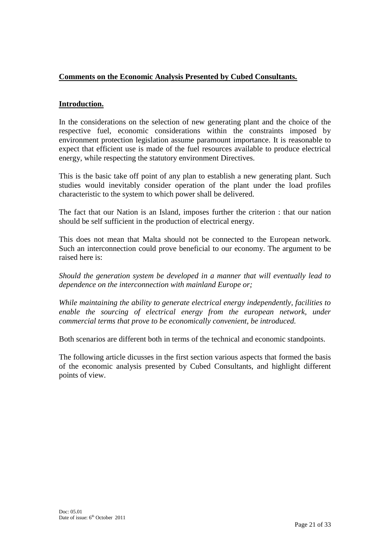#### **Comments on the Economic Analysis Presented by Cubed Consultants.**

#### **Introduction.**

In the considerations on the selection of new generating plant and the choice of the respective fuel, economic considerations within the constraints imposed by environment protection legislation assume paramount importance. It is reasonable to expect that efficient use is made of the fuel resources available to produce electrical energy, while respecting the statutory environment Directives.

This is the basic take off point of any plan to establish a new generating plant. Such studies would inevitably consider operation of the plant under the load profiles characteristic to the system to which power shall be delivered.

The fact that our Nation is an Island, imposes further the criterion : that our nation should be self sufficient in the production of electrical energy.

This does not mean that Malta should not be connected to the European network. Such an interconnection could prove beneficial to our economy. The argument to be raised here is:

*Should the generation system be developed in a manner that will eventually lead to dependence on the interconnection with mainland Europe or;*

*While maintaining the ability to generate electrical energy independently, facilities to enable the sourcing of electrical energy from the european network, under commercial terms that prove to be economically convenient, be introduced.*

Both scenarios are different both in terms of the technical and economic standpoints.

The following article dicusses in the first section various aspects that formed the basis of the economic analysis presented by Cubed Consultants, and highlight different points of view.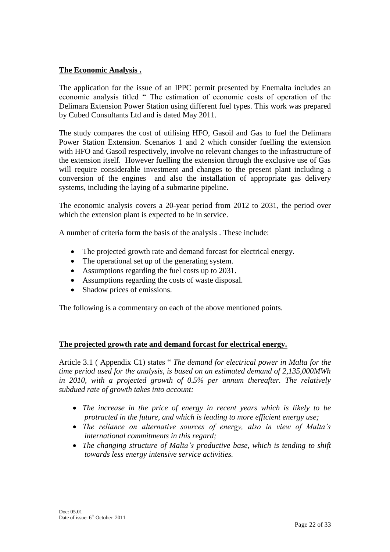#### **The Economic Analysis .**

The application for the issue of an IPPC permit presented by Enemalta includes an economic analysis titled " The estimation of economic costs of operation of the Delimara Extension Power Station using different fuel types. This work was prepared by Cubed Consultants Ltd and is dated May 2011.

The study compares the cost of utilising HFO, Gasoil and Gas to fuel the Delimara Power Station Extension. Scenarios 1 and 2 which consider fuelling the extension with HFO and Gasoil respectively, involve no relevant changes to the infrastructure of the extension itself. However fuelling the extension through the exclusive use of Gas will require considerable investment and changes to the present plant including a conversion of the engines and also the installation of appropriate gas delivery systems, including the laying of a submarine pipeline.

The economic analysis covers a 20-year period from 2012 to 2031, the period over which the extension plant is expected to be in service.

A number of criteria form the basis of the analysis . These include:

- The projected growth rate and demand forcast for electrical energy.
- The operational set up of the generating system.
- Assumptions regarding the fuel costs up to 2031.
- Assumptions regarding the costs of waste disposal.
- Shadow prices of emissions.

The following is a commentary on each of the above mentioned points.

#### **The projected growth rate and demand forcast for electrical energy.**

Article 3.1 ( Appendix C1) states " *The demand for electrical power in Malta for the time period used for the analysis, is based on an estimated demand of 2,135,000MWh in 2010, with a projected growth of 0.5% per annum thereafter. The relatively subdued rate of growth takes into account:*

- *The increase in the price of energy in recent years which is likely to be protracted in the future, and which is leading to more efficient energy use;*
- *The reliance on alternative sources of energy, also in view of Malta's international commitments in this regard;*
- *The changing structure of Malta's productive base, which is tending to shift towards less energy intensive service activities.*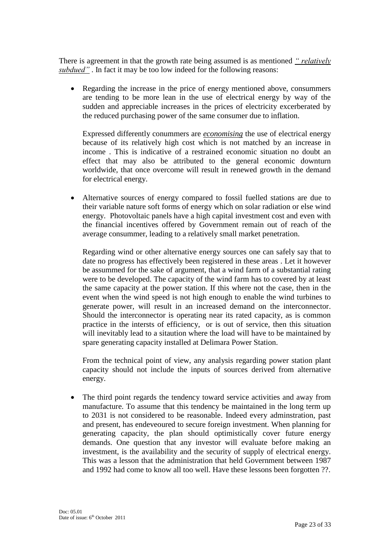There is agreement in that the growth rate being assumed is as mentioned *" relatively subdued"* . In fact it may be too low indeed for the following reasons:

 Regarding the increase in the price of energy mentioned above, consummers are tending to be more lean in the use of electrical energy by way of the sudden and appreciable increases in the prices of electricity excerberated by the reduced purchasing power of the same consumer due to inflation.

Expressed differently conummers are *economising* the use of electrical energy because of its relatively high cost which is not matched by an increase in income . This is indicative of a restrained economic situation no doubt an effect that may also be attributed to the general economic downturn worldwide, that once overcome will result in renewed growth in the demand for electrical energy.

 Alternative sources of energy compared to fossil fuelled stations are due to their variable nature soft forms of energy which on solar radiation or else wind energy. Photovoltaic panels have a high capital investment cost and even with the financial incentives offered by Government remain out of reach of the average consummer, leading to a relatively small market penetration.

Regarding wind or other alternative energy sources one can safely say that to date no progress has effectively been registered in these areas . Let it however be assummed for the sake of argument, that a wind farm of a substantial rating were to be developed. The capacity of the wind farm has to covered by at least the same capacity at the power station. If this where not the case, then in the event when the wind speed is not high enough to enable the wind turbines to generate power, will result in an increased demand on the interconnector. Should the interconnector is operating near its rated capacity, as is common practice in the intersts of efficiency, or is out of service, then this situation will inevitably lead to a sitaution where the load will have to be maintained by spare generating capacity installed at Delimara Power Station.

From the technical point of view, any analysis regarding power station plant capacity should not include the inputs of sources derived from alternative energy.

 The third point regards the tendency toward service activities and away from manufacture. To assume that this tendency be maintained in the long term up to 2031 is not considered to be reasonable. Indeed every adminstration, past and present, has endeveoured to secure foreign investment. When planning for generating capacity, the plan should optimistically cover future energy demands. One question that any investor will evaluate before making an investment, is the availability and the security of supply of electrical energy. This was a lesson that the administration that held Government between 1987 and 1992 had come to know all too well. Have these lessons been forgotten ??.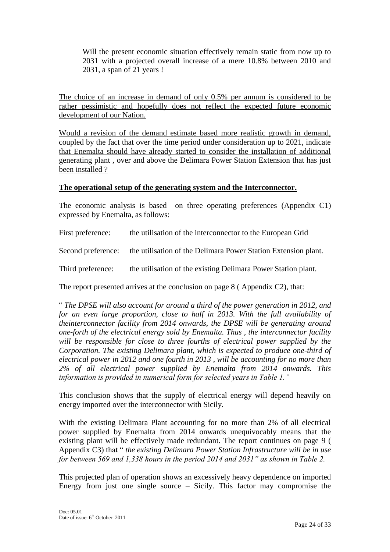Will the present economic situation effectively remain static from now up to 2031 with a projected overall increase of a mere 10.8% between 2010 and 2031, a span of 21 years !

The choice of an increase in demand of only 0.5% per annum is considered to be rather pessimistic and hopefully does not reflect the expected future economic development of our Nation.

Would a revision of the demand estimate based more realistic growth in demand, coupled by the fact that over the time period under consideration up to 2021, indicate that Enemalta should have already started to consider the installation of additional generating plant , over and above the Delimara Power Station Extension that has just been installed ?

#### **The operational setup of the generating system and the Interconnector.**

The economic analysis is based on three operating preferences (Appendix C1) expressed by Enemalta, as follows:

First preference: the utilisation of the interconnector to the European Grid

Second preference: the utilisation of the Delimara Power Station Extension plant.

Third preference: the utilisation of the existing Delimara Power Station plant.

The report presented arrives at the conclusion on page 8 ( Appendix C2), that:

" *The DPSE will also account for around a third of the power generation in 2012, and for an even large proportion, close to half in 2013. With the full availability of theinterconnector facility from 2014 onwards, the DPSE will be generating around one-forth of the electrical energy sold by Enemalta. Thus , the interconnector facility will be responsible for close to three fourths of electrical power supplied by the Corporation. The existing Delimara plant, which is expected to produce one-third of electrical power in 2012 and one fourth in 2013 , will be accounting for no more than 2% of all electrical power supplied by Enemalta from 2014 onwards. This information is provided in numerical form for selected years in Table 1."*

This conclusion shows that the supply of electrical energy will depend heavily on energy imported over the interconnector with Sicily.

With the existing Delimara Plant accounting for no more than 2% of all electrical power supplied by Enemalta from 2014 onwards unequivocably means that the existing plant will be effectively made redundant. The report continues on page 9 ( Appendix C3) that " *the existing Delimara Power Station Infrastructure will be in use for between 569 and 1,338 hours in the period 2014 and 2031" as shown in Table 2.*

This projected plan of operation shows an excessively heavy dependence on imported Energy from just one single source  $-$  Sicily. This factor may compromise the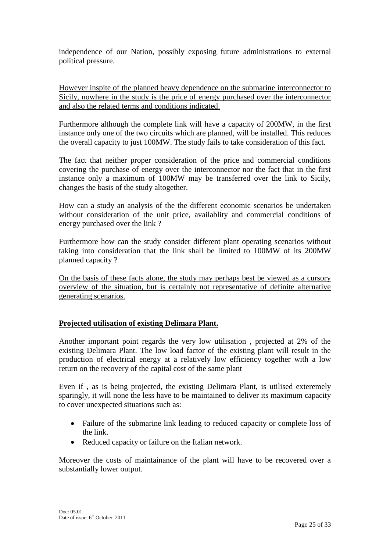independence of our Nation, possibly exposing future administrations to external political pressure.

However inspite of the planned heavy dependence on the submarine interconnector to Sicily, nowhere in the study is the price of energy purchased over the interconnector and also the related terms and conditions indicated.

Furthermore although the complete link will have a capacity of 200MW, in the first instance only one of the two circuits which are planned, will be installed. This reduces the overall capacity to just 100MW. The study fails to take consideration of this fact.

The fact that neither proper consideration of the price and commercial conditions covering the purchase of energy over the interconnector nor the fact that in the first instance only a maximum of 100MW may be transferred over the link to Sicily, changes the basis of the study altogether.

How can a study an analysis of the the different economic scenarios be undertaken without consideration of the unit price, availablity and commercial conditions of energy purchased over the link ?

Furthermore how can the study consider different plant operating scenarios without taking into consideration that the link shall be limited to 100MW of its 200MW planned capacity ?

On the basis of these facts alone, the study may perhaps best be viewed as a cursory overview of the situation, but is certainly not representative of definite alternative generating scenarios.

#### **Projected utilisation of existing Delimara Plant.**

Another important point regards the very low utilisation , projected at 2% of the existing Delimara Plant. The low load factor of the existing plant will result in the production of electrical energy at a relatively low efficiency together with a low return on the recovery of the capital cost of the same plant

Even if , as is being projected, the existing Delimara Plant, is utilised exteremely sparingly, it will none the less have to be maintained to deliver its maximum capacity to cover unexpected situations such as:

- Failure of the submarine link leading to reduced capacity or complete loss of the link.
- Reduced capacity or failure on the Italian network.

Moreover the costs of maintainance of the plant will have to be recovered over a substantially lower output.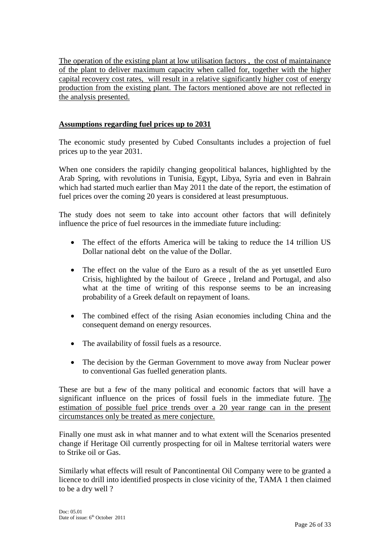The operation of the existing plant at low utilisation factors , the cost of maintainance of the plant to deliver maximum capacity when called for, together with the higher capital recovery cost rates, will result in a relative significantly higher cost of energy production from the existing plant. The factors mentioned above are not reflected in the analysis presented.

#### **Assumptions regarding fuel prices up to 2031**

The economic study presented by Cubed Consultants includes a projection of fuel prices up to the year 2031.

When one considers the rapidily changing geopolitical balances, highlighted by the Arab Spring, with revolutions in Tunisia, Egypt, Libya, Syria and even in Bahrain which had started much earlier than May 2011 the date of the report, the estimation of fuel prices over the coming 20 years is considered at least presumptuous.

The study does not seem to take into account other factors that will definitely influence the price of fuel resources in the immediate future including:

- The effect of the efforts America will be taking to reduce the 14 trillion US Dollar national debt on the value of the Dollar.
- The effect on the value of the Euro as a result of the as yet unsettled Euro Crisis, highlighted by the bailout of Greece , Ireland and Portugal, and also what at the time of writing of this response seems to be an increasing probability of a Greek default on repayment of loans.
- The combined effect of the rising Asian economies including China and the consequent demand on energy resources.
- The availability of fossil fuels as a resource.
- The decision by the German Government to move away from Nuclear power to conventional Gas fuelled generation plants.

These are but a few of the many political and economic factors that will have a significant influence on the prices of fossil fuels in the immediate future. The estimation of possible fuel price trends over a 20 year range can in the present circumstances only be treated as mere conjecture.

Finally one must ask in what manner and to what extent will the Scenarios presented change if Heritage Oil currently prospecting for oil in Maltese territorial waters were to Strike oil or Gas.

Similarly what effects will result of Pancontinental Oil Company were to be granted a licence to drill into identified prospects in close vicinity of the, TAMA 1 then claimed to be a dry well ?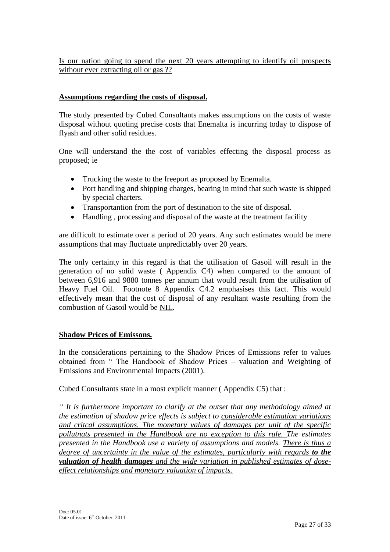Is our nation going to spend the next 20 years attempting to identify oil prospects without ever extracting oil or gas ??

#### **Assumptions regarding the costs of disposal.**

The study presented by Cubed Consultants makes assumptions on the costs of waste disposal without quoting precise costs that Enemalta is incurring today to dispose of flyash and other solid residues.

One will understand the the cost of variables effecting the disposal process as proposed; ie

- Trucking the waste to the freeport as proposed by Enemalta.
- Port handling and shipping charges, bearing in mind that such waste is shipped by special charters.
- Transportantion from the port of destination to the site of disposal.
- Handling, processing and disposal of the waste at the treatment facility

are difficult to estimate over a period of 20 years. Any such estimates would be mere assumptions that may fluctuate unpredictably over 20 years.

The only certainty in this regard is that the utilisation of Gasoil will result in the generation of no solid waste ( Appendix C4) when compared to the amount of between 6,916 and 9880 tonnes per annum that would result from the utilisation of Heavy Fuel Oil. Footnote 8 Appendix C4.2 emphasises this fact. This would effectively mean that the cost of disposal of any resultant waste resulting from the combustion of Gasoil would be NIL.

#### **Shadow Prices of Emissons.**

In the considerations pertaining to the Shadow Prices of Emissions refer to values obtained from " The Handbook of Shadow Prices – valuation and Weighting of Emissions and Environmental Impacts (2001).

Cubed Consultants state in a most explicit manner ( Appendix C5) that :

*" It is furthermore important to clarify at the outset that any methodology aimed at the estimation of shadow price effects is subject to considerable estimation variations and critcal assumptions. The monetary values of damages per unit of the specific pollutnats presented in the Handbook are no exception to this rule. The estimates presented in the Handbook use a variety of assumptions and models. There is thus a degree of uncertainty in the value of the estimates, particularly with regards to the valuation of health damages and the wide variation in published estimates of doseeffect relationships and monetary valuation of impacts.*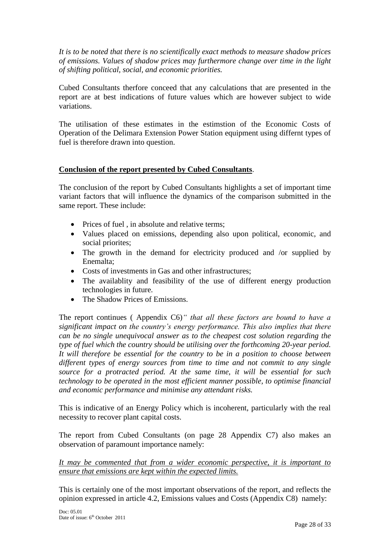*It is to be noted that there is no scientifically exact methods to measure shadow prices of emissions. Values of shadow prices may furthermore change over time in the light of shifting political, social, and economic priorities.*

Cubed Consultants therfore conceed that any calculations that are presented in the report are at best indications of future values which are however subject to wide variations.

The utilisation of these estimates in the estimstion of the Economic Costs of Operation of the Delimara Extension Power Station equipment using differnt types of fuel is therefore drawn into question.

#### **Conclusion of the report presented by Cubed Consultants**.

The conclusion of the report by Cubed Consultants highlights a set of important time variant factors that will influence the dynamics of the comparison submitted in the same report. These include:

- Prices of fuel , in absolute and relative terms:
- Values placed on emissions, depending also upon political, economic, and social priorites:
- The growth in the demand for electricity produced and /or supplied by Enemalta;
- Costs of investments in Gas and other infrastructures:
- The availablity and feasibility of the use of different energy production technologies in future.
- The Shadow Prices of Emissions.

The report continues ( Appendix C6)*" that all these factors are bound to have a significant impact on the country's energy performance. This also implies that there can be no single unequivocal answer as to the cheapest cost solution regarding the type of fuel which the country should be utilising over the forthcoming 20-year period. It will therefore be essential for the country to be in a position to choose between different types of energy sources from time to time and not commit to any single source for a protracted period. At the same time, it will be essential for such technology to be operated in the most efficient manner possible, to optimise financial and economic performance and minimise any attendant risks.*

This is indicative of an Energy Policy which is incoherent, particularly with the real necessity to recover plant capital costs.

The report from Cubed Consultants (on page 28 Appendix C7) also makes an observation of paramount importance namely:

*It may be commented that from a wider economic perspective, it is important to ensure that emissions are kept within the expected limits.*

This is certainly one of the most important observations of the report, and reflects the opinion expressed in article 4.2, Emissions values and Costs (Appendix C8) namely: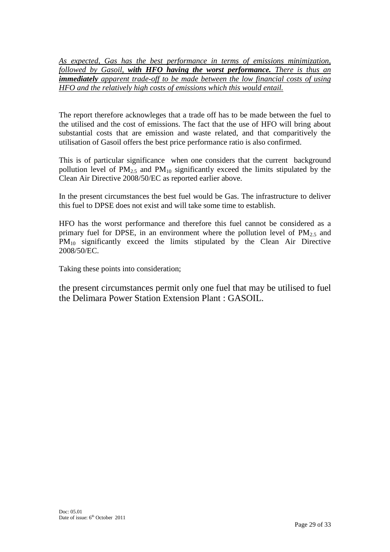*As expected, Gas has the best performance in terms of emissions minimization, followed by Gasoil, with HFO having the worst performance. There is thus an immediately apparent trade-off to be made between the low financial costs of using HFO and the relatively high costs of emissions which this would entail.*

The report therefore acknowleges that a trade off has to be made between the fuel to the utilised and the cost of emissions. The fact that the use of HFO will bring about substantial costs that are emission and waste related, and that comparitively the utilisation of Gasoil offers the best price performance ratio is also confirmed.

This is of particular significance when one considers that the current background pollution level of  $PM<sub>2.5</sub>$  and  $PM<sub>10</sub>$  significantly exceed the limits stipulated by the Clean Air Directive 2008/50/EC as reported earlier above.

In the present circumstances the best fuel would be Gas. The infrastructure to deliver this fuel to DPSE does not exist and will take some time to establish.

HFO has the worst performance and therefore this fuel cannot be considered as a primary fuel for DPSE, in an environment where the pollution level of  $PM_{2.5}$  and PM<sub>10</sub> significantly exceed the limits stipulated by the Clean Air Directive 2008/50/EC.

Taking these points into consideration;

the present circumstances permit only one fuel that may be utilised to fuel the Delimara Power Station Extension Plant : GASOIL.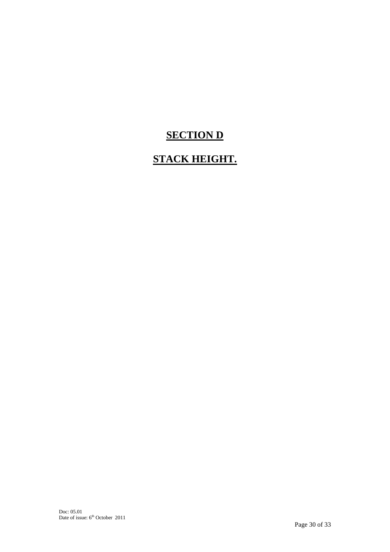# **SECTION D**

# **STACK HEIGHT.**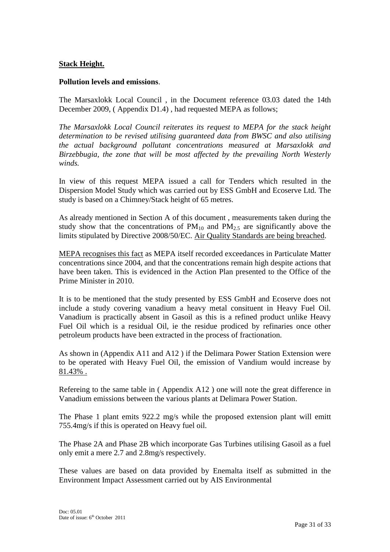#### **Stack Height.**

#### **Pollution levels and emissions**.

The Marsaxlokk Local Council , in the Document reference 03.03 dated the 14th December 2009, ( Appendix D1.4) , had requested MEPA as follows;

*The Marsaxlokk Local Council reiterates its request to MEPA for the stack height determination to be revised utilising guaranteed data from BWSC and also utilising the actual background pollutant concentrations measured at Marsaxlokk and Birzebbugia, the zone that will be most affected by the prevailing North Westerly winds.*

In view of this request MEPA issued a call for Tenders which resulted in the Dispersion Model Study which was carried out by ESS GmbH and Ecoserve Ltd. The study is based on a Chimney/Stack height of 65 metres.

As already mentioned in Section A of this document , measurements taken during the study show that the concentrations of  $PM_{10}$  and  $PM_{2.5}$  are significantly above the limits stipulated by Directive 2008/50/EC. Air Quality Standards are being breached.

MEPA recognises this fact as MEPA itself recorded exceedances in Particulate Matter concentrations since 2004, and that the concentrations remain high despite actions that have been taken. This is evidenced in the Action Plan presented to the Office of the Prime Minister in 2010.

It is to be mentioned that the study presented by ESS GmbH and Ecoserve does not include a study covering vanadium a heavy metal consituent in Heavy Fuel Oil. Vanadium is practically absent in Gasoil as this is a refined product unlike Heavy Fuel Oil which is a residual Oil, ie the residue prodiced by refinaries once other petroleum products have been extracted in the process of fractionation.

As shown in (Appendix A11 and A12 ) if the Delimara Power Station Extension were to be operated with Heavy Fuel Oil, the emission of Vandium would increase by 81.43% .

Refereing to the same table in ( Appendix A12 ) one will note the great difference in Vanadium emissions between the various plants at Delimara Power Station.

The Phase 1 plant emits 922.2 mg/s while the proposed extension plant will emitt 755.4mg/s if this is operated on Heavy fuel oil.

The Phase 2A and Phase 2B which incorporate Gas Turbines utilising Gasoil as a fuel only emit a mere 2.7 and 2.8mg/s respectively.

These values are based on data provided by Enemalta itself as submitted in the Environment Impact Assessment carried out by AIS Environmental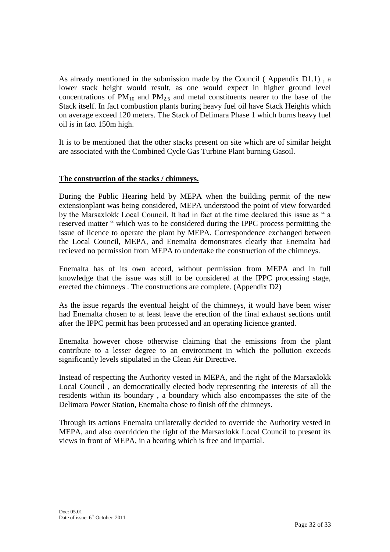As already mentioned in the submission made by the Council ( Appendix D1.1) , a lower stack height would result, as one would expect in higher ground level concentrations of  $PM_{10}$  and  $PM_{2.5}$  and metal constituents nearer to the base of the Stack itself. In fact combustion plants buring heavy fuel oil have Stack Heights which on average exceed 120 meters. The Stack of Delimara Phase 1 which burns heavy fuel oil is in fact 150m high.

It is to be mentioned that the other stacks present on site which are of similar height are associated with the Combined Cycle Gas Turbine Plant burning Gasoil.

#### **The construction of the stacks / chimneys.**

During the Public Hearing held by MEPA when the building permit of the new extensionplant was being considered, MEPA understood the point of view forwarded by the Marsaxlokk Local Council. It had in fact at the time declared this issue as " a reserved matter " which was to be considered during the IPPC process permitting the issue of licence to operate the plant by MEPA. Correspondence exchanged between the Local Council, MEPA, and Enemalta demonstrates clearly that Enemalta had recieved no permission from MEPA to undertake the construction of the chimneys.

Enemalta has of its own accord, without permission from MEPA and in full knowledge that the issue was still to be considered at the IPPC processing stage, erected the chimneys . The constructions are complete. (Appendix D2)

As the issue regards the eventual height of the chimneys, it would have been wiser had Enemalta chosen to at least leave the erection of the final exhaust sections until after the IPPC permit has been processed and an operating licience granted.

Enemalta however chose otherwise claiming that the emissions from the plant contribute to a lesser degree to an environment in which the pollution exceeds significantly levels stipulated in the Clean Air Directive.

Instead of respecting the Authority vested in MEPA, and the right of the Marsaxlokk Local Council , an democratically elected body representing the interests of all the residents within its boundary , a boundary which also encompasses the site of the Delimara Power Station, Enemalta chose to finish off the chimneys.

Through its actions Enemalta unilaterally decided to override the Authority vested in MEPA, and also overridden the right of the Marsaxlokk Local Council to present its views in front of MEPA, in a hearing which is free and impartial.